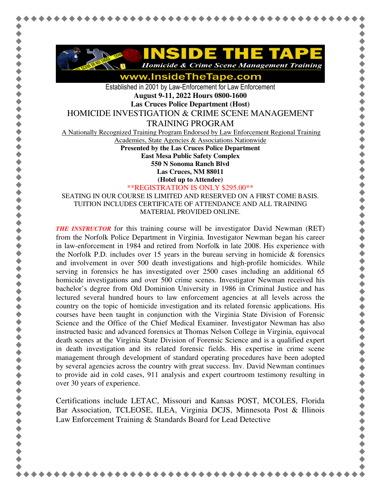

www.InsideTheTape.com

Established in 2001 by Law-Enforcement for Law Enforcement **August 9-11, 2022 Hours 0800-1600 Las Cruces Police Department (Host)** 

HOMICIDE INVESTIGATION & CRIME SCENE MANAGEMENT

TRAINING PROGRAM

A Nationally Recognized Training Program Endorsed by Law Enforcement Regional Training

Academies, State Agencies & Associations Nationwide

**Presented by the Las Cruces Police Department** 

**East Mesa Public Safety Complex** 

**550 N Sonoma Ranch Blvd** 

**Las Cruces, NM 88011** 

**(Hotel up to Attendee)**

\*\*REGISTRATION IS ONLY \$295.00\*\*

SEATING IN OUR COURSE IS LIMITED AND RESERVED ON A FIRST COME BASIS. TUITION INCLUDES CERTIFICATE OF ATTENDANCE AND ALL TRAINING MATERIAL PROVIDED ONLINE.

*THE INSTRUCTOR* for this training course will be investigator David Newman (RET) from the Norfolk Police Department in Virginia. Investigator Newman began his career in law-enforcement in 1984 and retired from Norfolk in late 2008. His experience with the Norfolk P.D. includes over 15 years in the bureau serving in homicide  $\&$  forensics and involvement in over 500 death investigations and high-profile homicides. While serving in forensics he has investigated over 2500 cases including an additional 65 homicide investigations and over 500 crime scenes. Investigator Newman received his bachelor's degree from Old Dominion University in 1986 in Criminal Justice and has lectured several hundred hours to law enforcement agencies at all levels across the country on the topic of homicide investigation and its related forensic applications. His courses have been taught in conjunction with the Virginia State Division of Forensic Science and the Office of the Chief Medical Examiner. Investigator Newman has also instructed basic and advanced forensics at Thomas Nelson College in Virginia, equivocal death scenes at the Virginia State Division of Forensic Science and is a qualified expert in death investigation and its related forensic fields. His expertise in crime scene management through development of standard operating procedures have been adopted by several agencies across the country with great success. Inv. David Newman continues to provide aid in cold cases, 911 analysis and expert courtroom testimony resulting in over 30 years of experience.

Certifications include LETAC, Missouri and Kansas POST, MCOLES, Florida Bar Association, TCLEOSE, ILEA, Virginia DCJS, Minnesota Post & Illinois Law Enforcement Training & Standards Board for Lead Detective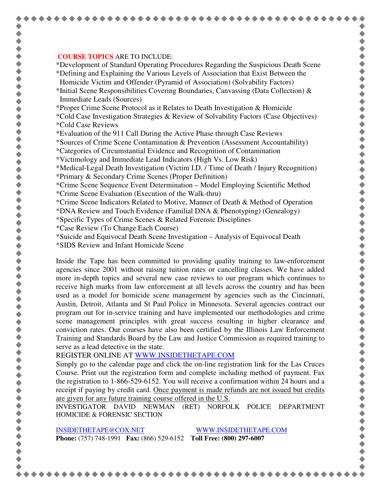## **COURSE TOPICS** ARE TO INCLUDE:

\*Development of Standard Operating Procedures Regarding the Suspicious Death Scene

\*Defining and Explaining the Various Levels of Association that Exist Between the Homicide Victim and Offender (Pyramid of Association) (Solvability Factors)

\*Initial Scene Responsibilities Covering Boundaries, Canvassing (Data Collection) & Immediate Leads (Sources)

\*Proper Crime Scene Protocol as it Relates to Death Investigation & Homicide

\*Cold Case Investigation Strategies & Review of Solvability Factors (Case Objectives) \*Cold Case Reviews

\*Evaluation of the 911 Call During the Active Phase through Case Reviews

\*Sources of Crime Scene Contamination & Prevention (Assessment Accountability)

\*Categories of Circumstantial Evidence and Recognition of Contamination

\*Victimology and Immediate Lead Indicators (High Vs. Low Risk)

\*Medical-Legal Death Investigation (Victim I.D. / Time of Death / Injury Recognition) \*Primary & Secondary Crime Scenes (Proper Definition)

\*Crime Scene Sequence Event Determination – Model Employing Scientific Method \*Crime Scene Evaluation (Execution of the Walk-thru)

\*Crime Scene Indicators Related to Motive, Manner of Death & Method of Operation

\*DNA Review and Touch Evidence (Familial DNA & Phenotyping) (Genealogy)

\*Specific Types of Crime Scenes & Related Forensic Disciplines

\*Case Review (To Change Each Course)

\*Suicide and Equivocal Death Scene Investigation – Analysis of Equivocal Death

\*SIDS Review and Infant Homicide Scene

Inside the Tape has been committed to providing quality training to law-enforcement agencies since 2001 without raising tuition rates or cancelling classes. We have added more in-depth topics and several new case reviews to our program which continues to receive high marks from law enforcement at all levels across the country and has been used as a model for homicide scene management by agencies such as the Cincinnati, Austin, Detroit, Atlanta and St Paul Police in Minnesota. Several agencies contract our program out for in-service training and have implemented our methodologies and crime scene management principles with great success resulting in higher clearance and conviction rates. Our courses have also been certified by the Illinois Law Enforcement Training and Standards Board by the Law and Justice Commission as required training to serve as a lead detective in the state.

REGISTER ONLINE AT WWW.INSIDETHETAPE.COM

Simply go to the calendar page and click the on-line registration link for the Las Cruces Course. Print out the registration form and complete including method of payment. Fax the registration to 1-866-529-6152. You will receive a confirmation within 24 hours and a receipt if paying by credit card. Once payment is made refunds are not issued but credits are given for any future training course offered in the U.S.

INVESTIGATOR DAVID NEWMAN (RET) NORFOLK POLICE DEPARTMENT HOMICIDE & FORENSIC SECTION

INSIDETHETAPE@COX.NET WWW.INSIDETHETAPE.COM **Phone:** (757) 748-1991 **Fax:** (866) 529-6152 **Toll Free: (800) 297-6007** 

\*\*\*\*\*\*\*\*\*\*\*\*\*\*\*\*\*\*\*\*\*\*\*\*